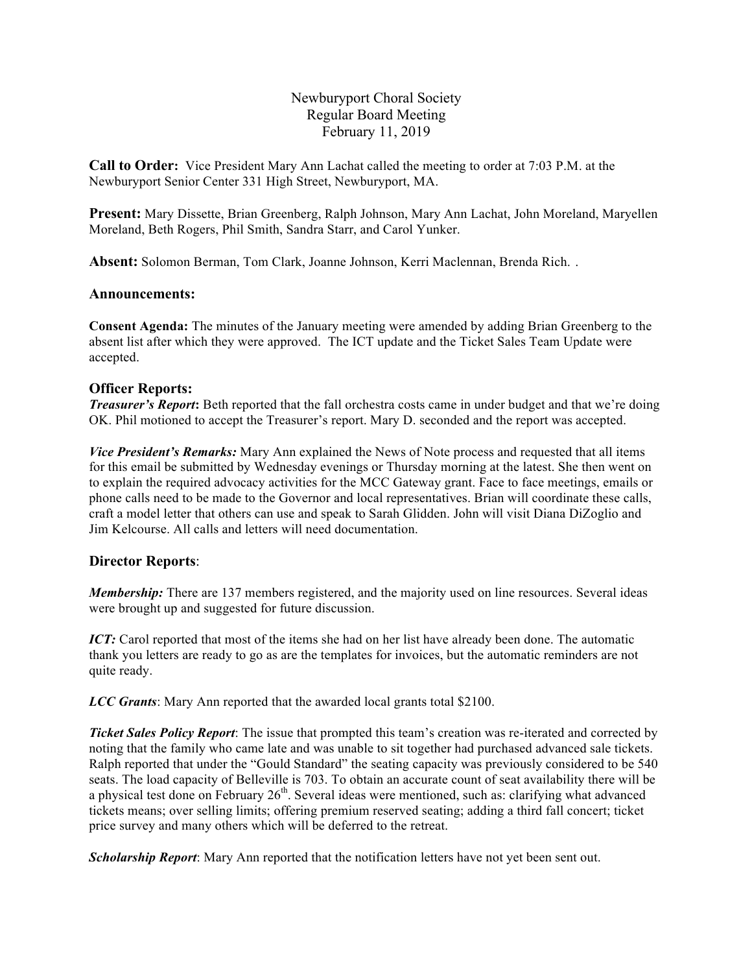Newburyport Choral Society Regular Board Meeting February 11, 2019

**Call to Order:** Vice President Mary Ann Lachat called the meeting to order at 7:03 P.M. at the Newburyport Senior Center 331 High Street, Newburyport, MA.

**Present:** Mary Dissette, Brian Greenberg, Ralph Johnson, Mary Ann Lachat, John Moreland, Maryellen Moreland, Beth Rogers, Phil Smith, Sandra Starr, and Carol Yunker.

**Absent:** Solomon Berman, Tom Clark, Joanne Johnson, Kerri Maclennan, Brenda Rich. .

### **Announcements:**

**Consent Agenda:** The minutes of the January meeting were amended by adding Brian Greenberg to the absent list after which they were approved. The ICT update and the Ticket Sales Team Update were accepted.

### **Officer Reports:**

*Treasurer's Report*: Beth reported that the fall orchestra costs came in under budget and that we're doing OK. Phil motioned to accept the Treasurer's report. Mary D. seconded and the report was accepted.

*Vice President's Remarks:* Mary Ann explained the News of Note process and requested that all items for this email be submitted by Wednesday evenings or Thursday morning at the latest. She then went on to explain the required advocacy activities for the MCC Gateway grant. Face to face meetings, emails or phone calls need to be made to the Governor and local representatives. Brian will coordinate these calls, craft a model letter that others can use and speak to Sarah Glidden. John will visit Diana DiZoglio and Jim Kelcourse. All calls and letters will need documentation.

### **Director Reports**:

*Membership:* There are 137 members registered, and the majority used on line resources. Several ideas were brought up and suggested for future discussion.

*ICT*: Carol reported that most of the items she had on her list have already been done. The automatic thank you letters are ready to go as are the templates for invoices, but the automatic reminders are not quite ready.

*LCC Grants*: Mary Ann reported that the awarded local grants total \$2100.

*Ticket Sales Policy Report*: The issue that prompted this team's creation was re-iterated and corrected by noting that the family who came late and was unable to sit together had purchased advanced sale tickets. Ralph reported that under the "Gould Standard" the seating capacity was previously considered to be 540 seats. The load capacity of Belleville is 703. To obtain an accurate count of seat availability there will be a physical test done on February 26<sup>th</sup>. Several ideas were mentioned, such as: clarifying what advanced tickets means; over selling limits; offering premium reserved seating; adding a third fall concert; ticket price survey and many others which will be deferred to the retreat.

*Scholarship Report*: Mary Ann reported that the notification letters have not yet been sent out.